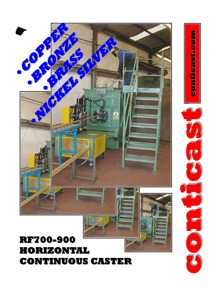## **RF700-900 HORIZONTAL HORIZONTAL CONTINUOUS CASTER CONTINUOUS CASTER**



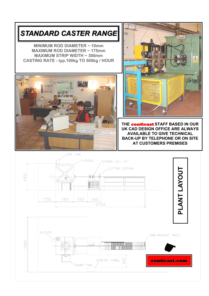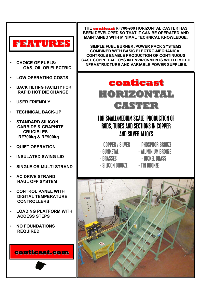

- **CHOICE OF FUELS: GAS, OIL OR ELECTRIC**
- **LOW OPERATING COSTS**
- **BACK TILTING FACILITY FOR RAPID HOT DIE CHANGE**
- **USER FRIENDLY**
- **TECHNICAL BACK-UP**
- **STANDARD SILICON CARBIDE & GRAPHITE CRUCIBLES RF700kg & RF900kg**
- **QUIET OPERATION**
- **INSULATED SWING LID**
- **SINGLE OR MULTI-STRAND**
- **AC DRIVE STRAND HAUL OFF SYSTEM**
- **CONTROL PANEL WITH DIGITAL TEMPERATURE CONTROLLERS**
- **LOADING PLATFORM WITH ACCESS STEPS**
- **NO FOUNDATIONS REQUIRED**

**conticast.com**

**THE conticast conticast RF700-900 HORIZONTAL CASTER HAS BEEN DEVELOPED SO THAT IT CAN BE OPERATED AND MAINTAINED WITH MINIMAL TECHNICAL KNOWLEDGE.** 

**SIMPLE FUEL BURNER /POWER PACK SYSTEMS COMBINED WITH BASIC ELECTRO-MECHANICAL CONTROLS ENABLE PRODUCTION OF CONTINUOUS CAST COPPER ALLOYS IN ENVIRONMENTS WITH LIMITED INFRASTRUCTURE AND VARIABLE POWER SUPPLIES.** 

## **conticast conticast HORIZONTAL HORIZONTAL CASTER**

## FOR SMALL/MEDIUM SCALE PRODUCTION OF RODS, TUBES AND SECTIONS IN COPPER AND SILVER ALLOYS

- 
- 
- 
- SILICON BRONZE TIN BRONZE
- COPPER / SILVER PHOSPHOR BRONZE - GUNMETAL - ALUMINIUM BRONZE - BRASSES - NICKEL BRASS